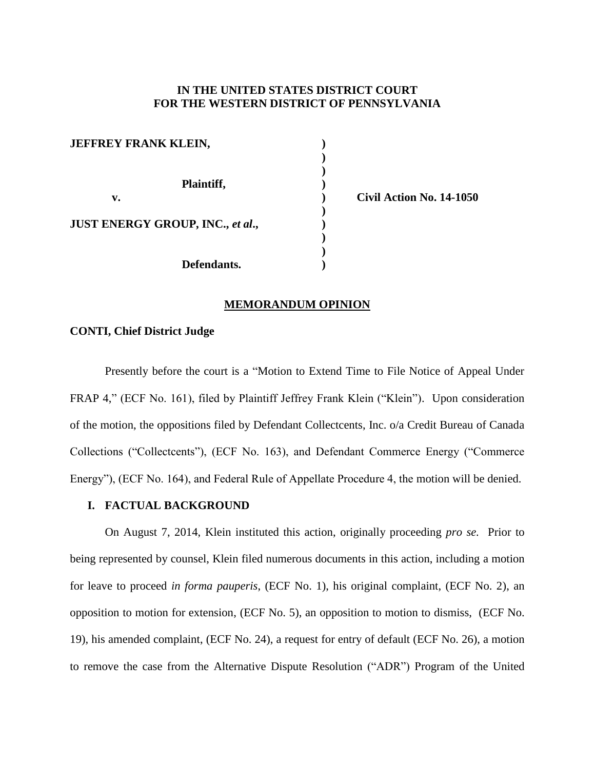## **IN THE UNITED STATES DISTRICT COURT FOR THE WESTERN DISTRICT OF PENNSYLVANIA**

| <b>JEFFREY FRANK KLEIN,</b>             |  |
|-----------------------------------------|--|
| Plaintiff,                              |  |
| v.                                      |  |
| <b>JUST ENERGY GROUP, INC., et al.,</b> |  |
| Defendants.                             |  |

**v. ) Civil Action No. 14-1050**

### **MEMORANDUM OPINION**

## **CONTI, Chief District Judge**

Presently before the court is a "Motion to Extend Time to File Notice of Appeal Under FRAP 4," (ECF No. 161), filed by Plaintiff Jeffrey Frank Klein ("Klein"). Upon consideration of the motion, the oppositions filed by Defendant Collectcents, Inc. o/a Credit Bureau of Canada Collections ("Collectcents"), (ECF No. 163), and Defendant Commerce Energy ("Commerce Energy"), (ECF No. 164), and Federal Rule of Appellate Procedure 4, the motion will be denied.

### **I. FACTUAL BACKGROUND**

On August 7, 2014, Klein instituted this action, originally proceeding *pro se.* Prior to being represented by counsel, Klein filed numerous documents in this action, including a motion for leave to proceed *in forma pauperis*, (ECF No. 1), his original complaint, (ECF No. 2), an opposition to motion for extension, (ECF No. 5), an opposition to motion to dismiss, (ECF No. 19), his amended complaint, (ECF No. 24), a request for entry of default (ECF No. 26), a motion to remove the case from the Alternative Dispute Resolution ("ADR") Program of the United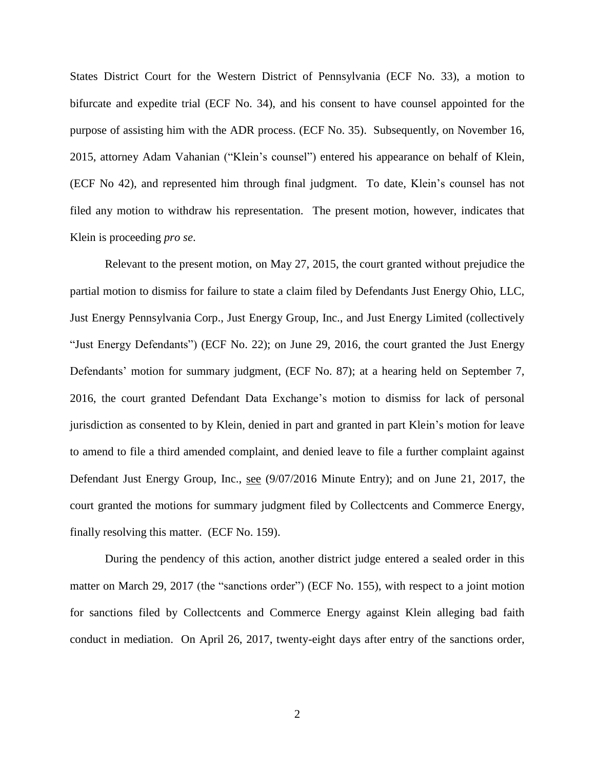States District Court for the Western District of Pennsylvania (ECF No. 33), a motion to bifurcate and expedite trial (ECF No. 34), and his consent to have counsel appointed for the purpose of assisting him with the ADR process. (ECF No. 35). Subsequently, on November 16, 2015, attorney Adam Vahanian ("Klein's counsel") entered his appearance on behalf of Klein, (ECF No 42), and represented him through final judgment. To date, Klein's counsel has not filed any motion to withdraw his representation. The present motion, however, indicates that Klein is proceeding *pro se*.

Relevant to the present motion, on May 27, 2015, the court granted without prejudice the partial motion to dismiss for failure to state a claim filed by Defendants Just Energy Ohio, LLC, Just Energy Pennsylvania Corp., Just Energy Group, Inc., and Just Energy Limited (collectively "Just Energy Defendants") (ECF No. 22); on June 29, 2016, the court granted the Just Energy Defendants' motion for summary judgment, (ECF No. 87); at a hearing held on September 7, 2016, the court granted Defendant Data Exchange's motion to dismiss for lack of personal jurisdiction as consented to by Klein, denied in part and granted in part Klein's motion for leave to amend to file a third amended complaint, and denied leave to file a further complaint against Defendant Just Energy Group, Inc., see (9/07/2016 Minute Entry); and on June 21, 2017, the court granted the motions for summary judgment filed by Collectcents and Commerce Energy, finally resolving this matter. (ECF No. 159).

During the pendency of this action, another district judge entered a sealed order in this matter on March 29, 2017 (the "sanctions order") (ECF No. 155), with respect to a joint motion for sanctions filed by Collectcents and Commerce Energy against Klein alleging bad faith conduct in mediation. On April 26, 2017, twenty-eight days after entry of the sanctions order,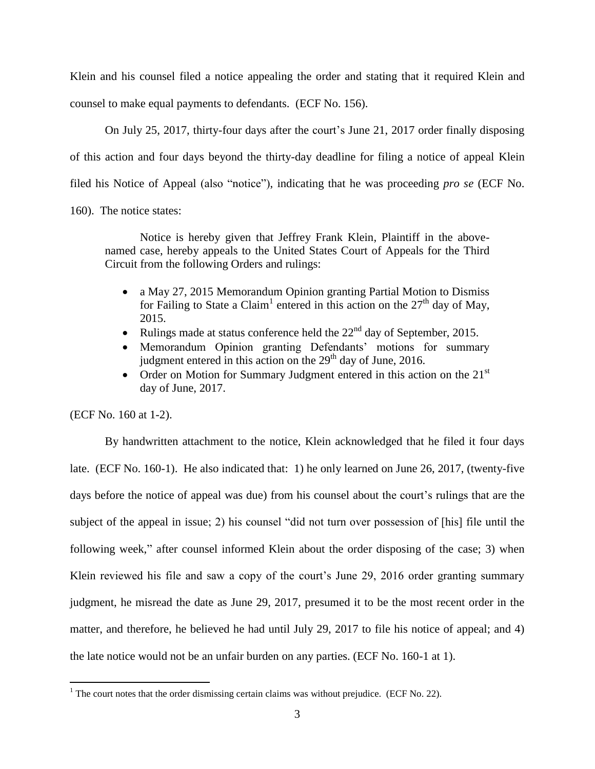Klein and his counsel filed a notice appealing the order and stating that it required Klein and counsel to make equal payments to defendants. (ECF No. 156).

On July 25, 2017, thirty-four days after the court's June 21, 2017 order finally disposing of this action and four days beyond the thirty-day deadline for filing a notice of appeal Klein filed his Notice of Appeal (also "notice"), indicating that he was proceeding *pro se* (ECF No.

160). The notice states:

Notice is hereby given that Jeffrey Frank Klein, Plaintiff in the abovenamed case, hereby appeals to the United States Court of Appeals for the Third Circuit from the following Orders and rulings:

- a May 27, 2015 Memorandum Opinion granting Partial Motion to Dismiss for Failing to State a Claim<sup>1</sup> entered in this action on the  $27<sup>th</sup>$  day of May, 2015.
- Rulings made at status conference held the  $22<sup>nd</sup>$  day of September, 2015.
- Memorandum Opinion granting Defendants' motions for summary judgment entered in this action on the  $29<sup>th</sup>$  day of June, 2016.
- Order on Motion for Summary Judgment entered in this action on the  $21<sup>st</sup>$ day of June, 2017.

(ECF No. 160 at 1-2).

 $\overline{a}$ 

By handwritten attachment to the notice, Klein acknowledged that he filed it four days late. (ECF No. 160-1). He also indicated that: 1) he only learned on June 26, 2017, (twenty-five days before the notice of appeal was due) from his counsel about the court's rulings that are the subject of the appeal in issue; 2) his counsel "did not turn over possession of [his] file until the following week," after counsel informed Klein about the order disposing of the case; 3) when Klein reviewed his file and saw a copy of the court's June 29, 2016 order granting summary judgment, he misread the date as June 29, 2017, presumed it to be the most recent order in the matter, and therefore, he believed he had until July 29, 2017 to file his notice of appeal; and 4) the late notice would not be an unfair burden on any parties. (ECF No. 160-1 at 1).

 $1$  The court notes that the order dismissing certain claims was without prejudice. (ECF No. 22).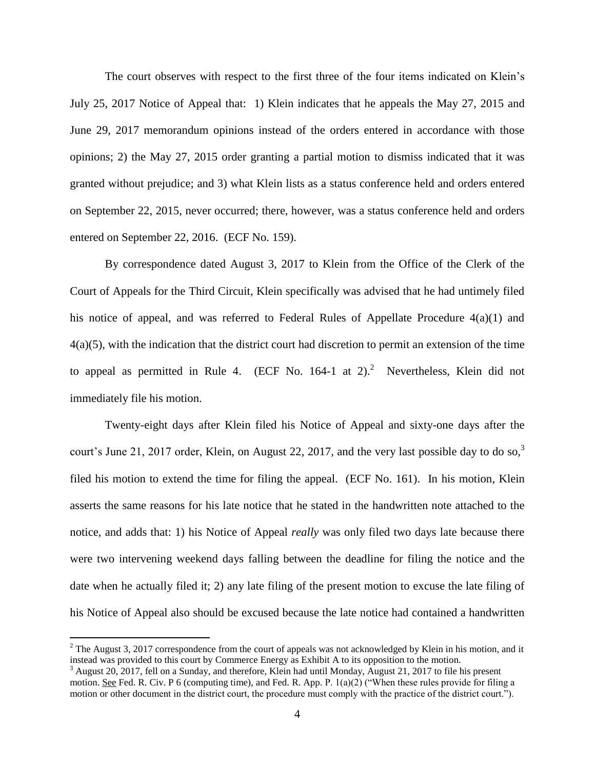The court observes with respect to the first three of the four items indicated on Klein's July 25, 2017 Notice of Appeal that: 1) Klein indicates that he appeals the May 27, 2015 and June 29, 2017 memorandum opinions instead of the orders entered in accordance with those opinions; 2) the May 27, 2015 order granting a partial motion to dismiss indicated that it was granted without prejudice; and 3) what Klein lists as a status conference held and orders entered on September 22, 2015, never occurred; there, however, was a status conference held and orders entered on September 22, 2016. (ECF No. 159).

By correspondence dated August 3, 2017 to Klein from the Office of the Clerk of the Court of Appeals for the Third Circuit, Klein specifically was advised that he had untimely filed his notice of appeal, and was referred to Federal Rules of Appellate Procedure 4(a)(1) and 4(a)(5), with the indication that the district court had discretion to permit an extension of the time to appeal as permitted in Rule 4. (ECF No. 164-1 at 2).<sup>2</sup> Nevertheless, Klein did not immediately file his motion.

Twenty-eight days after Klein filed his Notice of Appeal and sixty-one days after the court's June 21, 2017 order, Klein, on August 22, 2017, and the very last possible day to do so,  $3\overline{3}$ filed his motion to extend the time for filing the appeal. (ECF No. 161). In his motion, Klein asserts the same reasons for his late notice that he stated in the handwritten note attached to the notice, and adds that: 1) his Notice of Appeal *really* was only filed two days late because there were two intervening weekend days falling between the deadline for filing the notice and the date when he actually filed it; 2) any late filing of the present motion to excuse the late filing of his Notice of Appeal also should be excused because the late notice had contained a handwritten

 $\overline{a}$ 

 $2^2$  The August 3, 2017 correspondence from the court of appeals was not acknowledged by Klein in his motion, and it instead was provided to this court by Commerce Energy as Exhibit A to its opposition to the motion.

 $3$  August 20, 2017, fell on a Sunday, and therefore, Klein had until Monday, August 21, 2017 to file his present motion. See Fed. R. Civ. P 6 (computing time), and Fed. R. App. P. 1(a)(2) ("When these rules provide for filing a motion or other document in the district court, the procedure must comply with the practice of the district court.").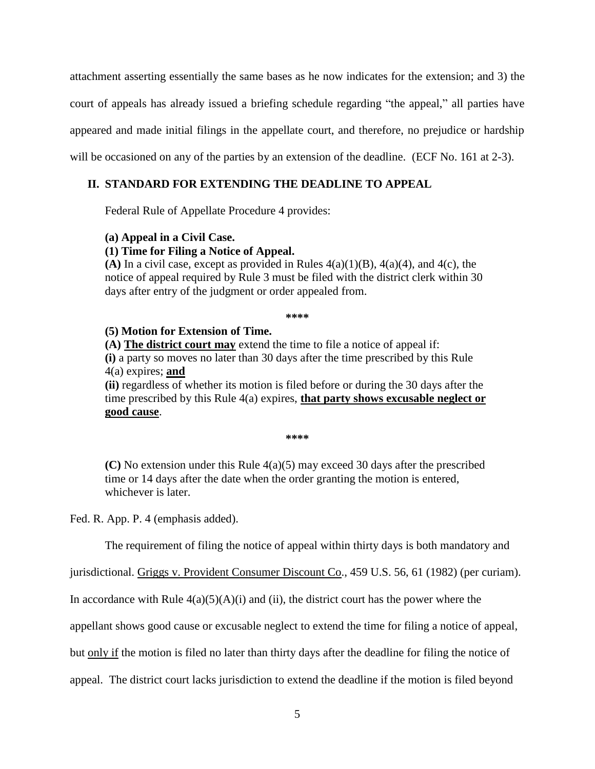attachment asserting essentially the same bases as he now indicates for the extension; and 3) the court of appeals has already issued a briefing schedule regarding "the appeal," all parties have appeared and made initial filings in the appellate court, and therefore, no prejudice or hardship will be occasioned on any of the parties by an extension of the deadline. (ECF No. 161 at 2-3).

# **II. STANDARD FOR EXTENDING THE DEADLINE TO APPEAL**

Federal Rule of Appellate Procedure 4 provides:

# **(a) Appeal in a Civil Case.**

# **(1) Time for Filing a Notice of Appeal.**

**(A)** In a civil case, except as provided in Rules  $4(a)(1)(B)$ ,  $4(a)(4)$ , and  $4(c)$ , the notice of appeal required by Rule 3 must be filed with the district clerk within 30 days after entry of the judgment or order appealed from.

**\*\*\*\***

# **(5) Motion for Extension of Time.**

**(A) The district court may** extend the time to file a notice of appeal if:

**(i)** a party so moves no later than 30 days after the time prescribed by this Rule 4(a) expires; **and**

**(ii)** regardless of whether its motion is filed before or during the 30 days after the time prescribed by this Rule 4(a) expires, **that party shows excusable neglect or good cause**.

**\*\*\*\***

**(C)** No extension under this Rule 4(a)(5) may exceed 30 days after the prescribed time or 14 days after the date when the order granting the motion is entered, whichever is later.

Fed. R. App. P. 4 (emphasis added).

The requirement of filing the notice of appeal within thirty days is both mandatory and

jurisdictional. Griggs v. Provident Consumer Discount Co., 459 U.S. 56, 61 (1982) (per curiam).

In accordance with Rule  $4(a)(5)(A)(i)$  and (ii), the district court has the power where the

appellant shows good cause or excusable neglect to extend the time for filing a notice of appeal,

but only if the motion is filed no later than thirty days after the deadline for filing the notice of

appeal. The district court lacks jurisdiction to extend the deadline if the motion is filed beyond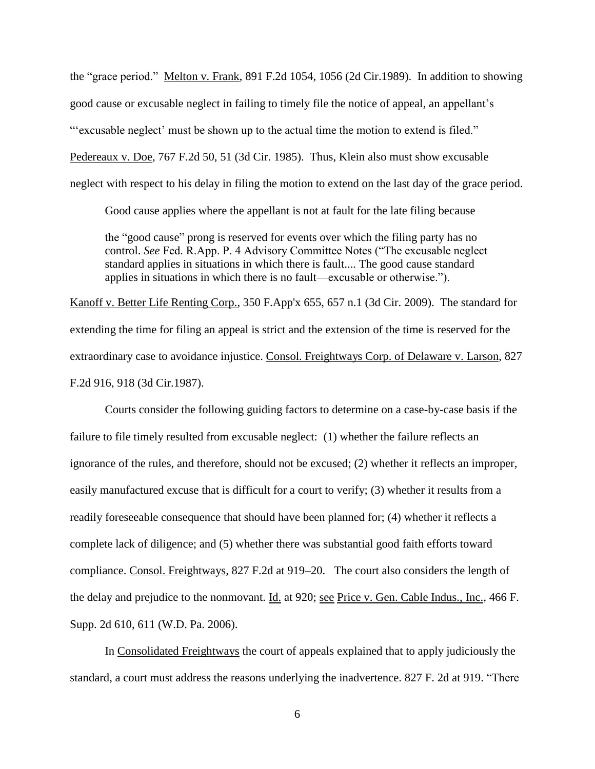the "grace period." Melton v. Frank, 891 F.2d 1054, 1056 (2d Cir.1989). In addition to showing good cause or excusable neglect in failing to timely file the notice of appeal, an appellant's "'excusable neglect' must be shown up to the actual time the motion to extend is filed." Pedereaux v. Doe, 767 F.2d 50, 51 (3d Cir. 1985). Thus, Klein also must show excusable neglect with respect to his delay in filing the motion to extend on the last day of the grace period.

Good cause applies where the appellant is not at fault for the late filing because

the "good cause" prong is reserved for events over which the filing party has no control. *See* Fed. R.App. P. 4 Advisory Committee Notes ("The excusable neglect standard applies in situations in which there is fault.... The good cause standard applies in situations in which there is no fault—excusable or otherwise.").

Kanoff v. Better Life Renting Corp., 350 F.App'x 655, 657 n.1 (3d Cir. 2009). The standard for extending the time for filing an appeal is strict and the extension of the time is reserved for the extraordinary case to avoidance injustice. Consol. Freightways Corp. of Delaware v. Larson, 827 F.2d 916, 918 (3d Cir.1987).

Courts consider the following guiding factors to determine on a case-by-case basis if the failure to file timely resulted from excusable neglect: (1) whether the failure reflects an ignorance of the rules, and therefore, should not be excused; (2) whether it reflects an improper, easily manufactured excuse that is difficult for a court to verify; (3) whether it results from a readily foreseeable consequence that should have been planned for; (4) whether it reflects a complete lack of diligence; and (5) whether there was substantial good faith efforts toward compliance. Consol. Freightways*,* 827 F.2d at 919–20. The court also considers the length of the delay and prejudice to the nonmovant. Id. at 920; see Price v. Gen. Cable Indus., Inc., 466 F. Supp. 2d 610, 611 (W.D. Pa. 2006).

In Consolidated Freightways the court of appeals explained that to apply judiciously the standard, a court must address the reasons underlying the inadvertence. 827 F. 2d at 919. "There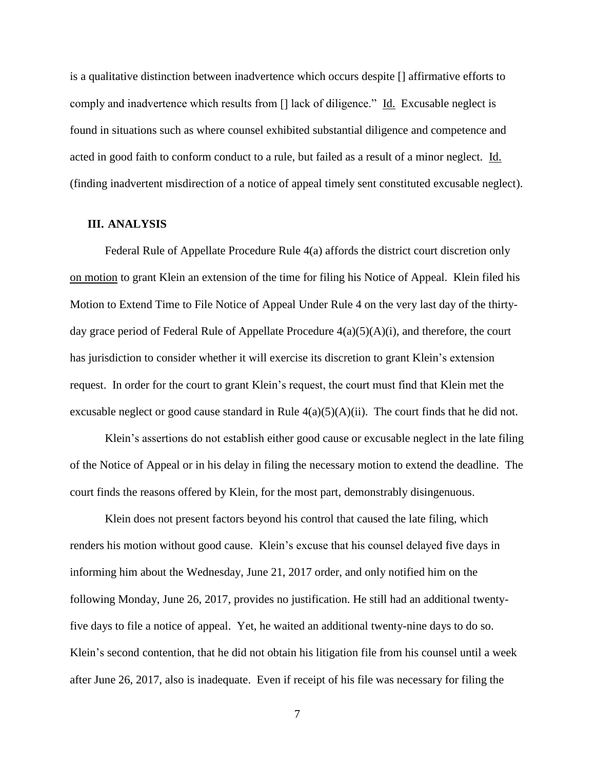is a qualitative distinction between inadvertence which occurs despite [] affirmative efforts to comply and inadvertence which results from [] lack of diligence." Id. Excusable neglect is found in situations such as where counsel exhibited substantial diligence and competence and acted in good faith to conform conduct to a rule, but failed as a result of a minor neglect. Id. (finding inadvertent misdirection of a notice of appeal timely sent constituted excusable neglect).

### **III. ANALYSIS**

Federal Rule of Appellate Procedure Rule 4(a) affords the district court discretion only on motion to grant Klein an extension of the time for filing his Notice of Appeal. Klein filed his Motion to Extend Time to File Notice of Appeal Under Rule 4 on the very last day of the thirtyday grace period of Federal Rule of Appellate Procedure 4(a)(5)(A)(i), and therefore, the court has jurisdiction to consider whether it will exercise its discretion to grant Klein's extension request. In order for the court to grant Klein's request, the court must find that Klein met the excusable neglect or good cause standard in Rule  $4(a)(5)(A)(ii)$ . The court finds that he did not.

Klein's assertions do not establish either good cause or excusable neglect in the late filing of the Notice of Appeal or in his delay in filing the necessary motion to extend the deadline. The court finds the reasons offered by Klein, for the most part, demonstrably disingenuous.

Klein does not present factors beyond his control that caused the late filing, which renders his motion without good cause. Klein's excuse that his counsel delayed five days in informing him about the Wednesday, June 21, 2017 order, and only notified him on the following Monday, June 26, 2017, provides no justification. He still had an additional twentyfive days to file a notice of appeal. Yet, he waited an additional twenty-nine days to do so. Klein's second contention, that he did not obtain his litigation file from his counsel until a week after June 26, 2017, also is inadequate. Even if receipt of his file was necessary for filing the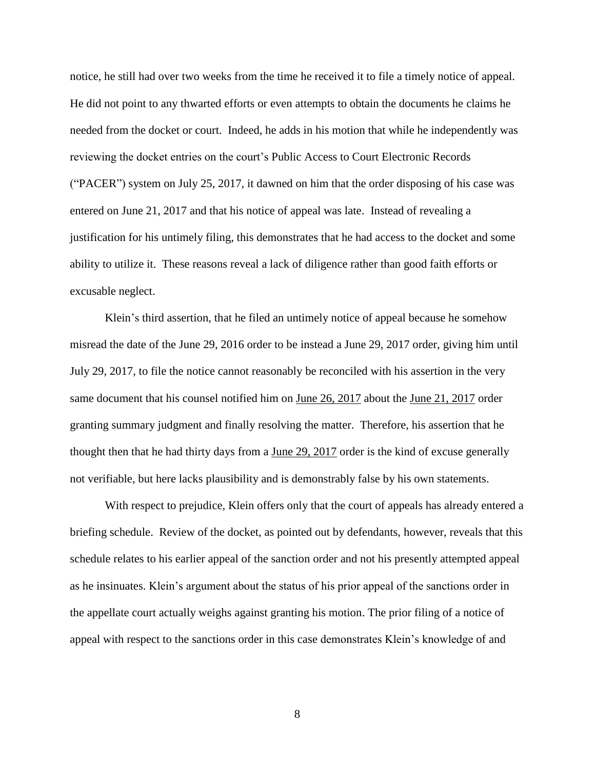notice, he still had over two weeks from the time he received it to file a timely notice of appeal. He did not point to any thwarted efforts or even attempts to obtain the documents he claims he needed from the docket or court. Indeed, he adds in his motion that while he independently was reviewing the docket entries on the court's Public Access to Court Electronic Records ("PACER") system on July 25, 2017, it dawned on him that the order disposing of his case was entered on June 21, 2017 and that his notice of appeal was late. Instead of revealing a justification for his untimely filing, this demonstrates that he had access to the docket and some ability to utilize it. These reasons reveal a lack of diligence rather than good faith efforts or excusable neglect.

Klein's third assertion, that he filed an untimely notice of appeal because he somehow misread the date of the June 29, 2016 order to be instead a June 29, 2017 order, giving him until July 29, 2017, to file the notice cannot reasonably be reconciled with his assertion in the very same document that his counsel notified him on June 26, 2017 about the June 21, 2017 order granting summary judgment and finally resolving the matter. Therefore, his assertion that he thought then that he had thirty days from a June 29, 2017 order is the kind of excuse generally not verifiable, but here lacks plausibility and is demonstrably false by his own statements.

With respect to prejudice, Klein offers only that the court of appeals has already entered a briefing schedule. Review of the docket, as pointed out by defendants, however, reveals that this schedule relates to his earlier appeal of the sanction order and not his presently attempted appeal as he insinuates. Klein's argument about the status of his prior appeal of the sanctions order in the appellate court actually weighs against granting his motion. The prior filing of a notice of appeal with respect to the sanctions order in this case demonstrates Klein's knowledge of and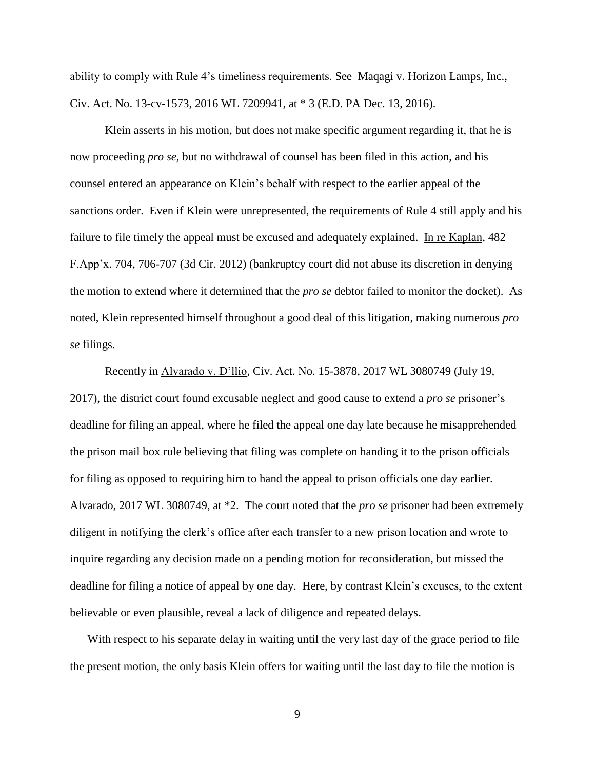ability to comply with Rule 4's timeliness requirements. See Maqagi v. Horizon Lamps, Inc., Civ. Act. No. 13-cv-1573, 2016 WL 7209941, at \* 3 (E.D. PA Dec. 13, 2016).

Klein asserts in his motion, but does not make specific argument regarding it, that he is now proceeding *pro se*, but no withdrawal of counsel has been filed in this action, and his counsel entered an appearance on Klein's behalf with respect to the earlier appeal of the sanctions order. Even if Klein were unrepresented, the requirements of Rule 4 still apply and his failure to file timely the appeal must be excused and adequately explained. In re Kaplan, 482 F.App'x. 704, 706-707 (3d Cir. 2012) (bankruptcy court did not abuse its discretion in denying the motion to extend where it determined that the *pro se* debtor failed to monitor the docket). As noted, Klein represented himself throughout a good deal of this litigation, making numerous *pro se* filings.

Recently in Alvarado v. D'llio, Civ. Act. No. 15-3878, 2017 WL 3080749 (July 19, 2017), the district court found excusable neglect and good cause to extend a *pro se* prisoner's deadline for filing an appeal, where he filed the appeal one day late because he misapprehended the prison mail box rule believing that filing was complete on handing it to the prison officials for filing as opposed to requiring him to hand the appeal to prison officials one day earlier. Alvarado, 2017 WL 3080749, at \*2. The court noted that the *pro se* prisoner had been extremely diligent in notifying the clerk's office after each transfer to a new prison location and wrote to inquire regarding any decision made on a pending motion for reconsideration, but missed the deadline for filing a notice of appeal by one day. Here, by contrast Klein's excuses, to the extent believable or even plausible, reveal a lack of diligence and repeated delays.

With respect to his separate delay in waiting until the very last day of the grace period to file the present motion, the only basis Klein offers for waiting until the last day to file the motion is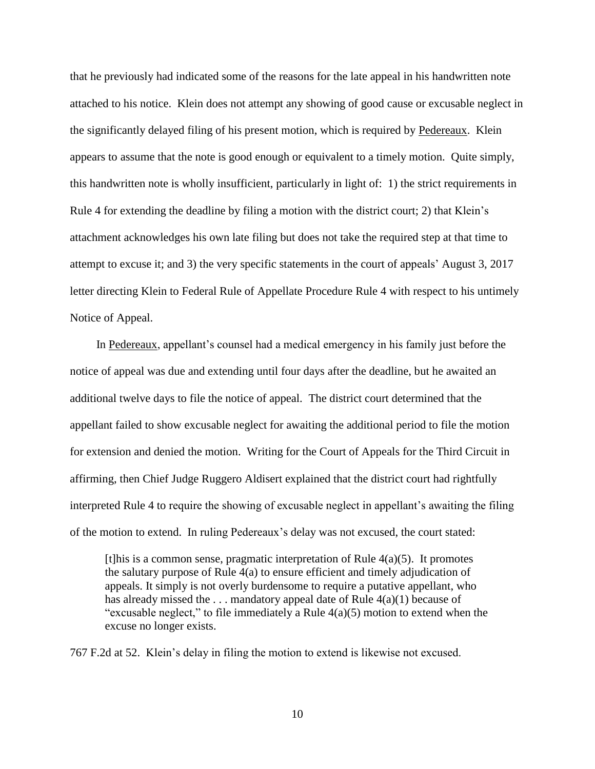that he previously had indicated some of the reasons for the late appeal in his handwritten note attached to his notice. Klein does not attempt any showing of good cause or excusable neglect in the significantly delayed filing of his present motion, which is required by Pedereaux. Klein appears to assume that the note is good enough or equivalent to a timely motion. Quite simply, this handwritten note is wholly insufficient, particularly in light of: 1) the strict requirements in Rule 4 for extending the deadline by filing a motion with the district court; 2) that Klein's attachment acknowledges his own late filing but does not take the required step at that time to attempt to excuse it; and 3) the very specific statements in the court of appeals' August 3, 2017 letter directing Klein to Federal Rule of Appellate Procedure Rule 4 with respect to his untimely Notice of Appeal.

In Pedereaux, appellant's counsel had a medical emergency in his family just before the notice of appeal was due and extending until four days after the deadline, but he awaited an additional twelve days to file the notice of appeal. The district court determined that the appellant failed to show excusable neglect for awaiting the additional period to file the motion for extension and denied the motion. Writing for the Court of Appeals for the Third Circuit in affirming, then Chief Judge Ruggero Aldisert explained that the district court had rightfully interpreted Rule 4 to require the showing of excusable neglect in appellant's awaiting the filing of the motion to extend. In ruling Pedereaux's delay was not excused, the court stated:

[t]his is a common sense, pragmatic interpretation of Rule  $4(a)(5)$ . It promotes the salutary purpose of Rule 4(a) to ensure efficient and timely adjudication of appeals. It simply is not overly burdensome to require a putative appellant, who has already missed the  $\dots$  mandatory appeal date of Rule  $4(a)(1)$  because of "excusable neglect," to file immediately a Rule  $4(a)(5)$  motion to extend when the excuse no longer exists.

767 F.2d at 52. Klein's delay in filing the motion to extend is likewise not excused.